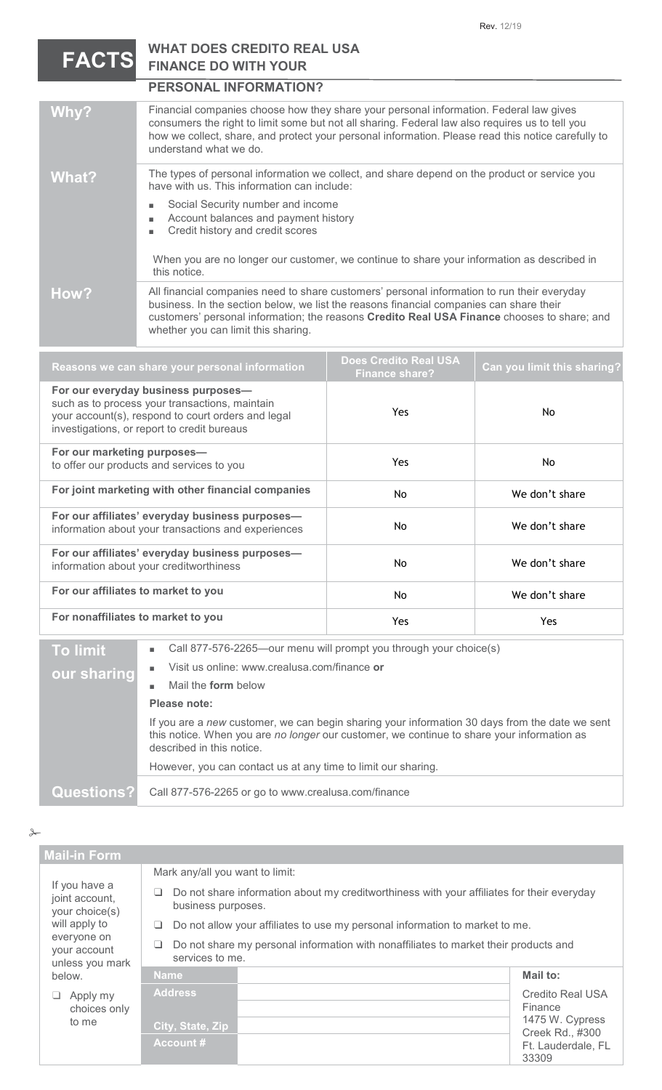## **WHAT DOES CREDITO REAL USA FINANCE DO WITH YOUR FACTS**

|                                                                                                                                                                                                                                                                                                                         | <b>PERSONAL INFORMATION?</b>                                                                                                                                                                                                                                                                                              |                                                       |                             |  |
|-------------------------------------------------------------------------------------------------------------------------------------------------------------------------------------------------------------------------------------------------------------------------------------------------------------------------|---------------------------------------------------------------------------------------------------------------------------------------------------------------------------------------------------------------------------------------------------------------------------------------------------------------------------|-------------------------------------------------------|-----------------------------|--|
| Why?                                                                                                                                                                                                                                                                                                                    | Financial companies choose how they share your personal information. Federal law gives<br>consumers the right to limit some but not all sharing. Federal law also requires us to tell you<br>how we collect, share, and protect your personal information. Please read this notice carefully to<br>understand what we do. |                                                       |                             |  |
| The types of personal information we collect, and share depend on the product or service you<br><b>What?</b><br>have with us. This information can include:                                                                                                                                                             |                                                                                                                                                                                                                                                                                                                           |                                                       |                             |  |
|                                                                                                                                                                                                                                                                                                                         | Social Security number and income<br>Account balances and payment history<br>Credit history and credit scores                                                                                                                                                                                                             |                                                       |                             |  |
|                                                                                                                                                                                                                                                                                                                         | When you are no longer our customer, we continue to share your information as described in<br>this notice.                                                                                                                                                                                                                |                                                       |                             |  |
| How?                                                                                                                                                                                                                                                                                                                    | All financial companies need to share customers' personal information to run their everyday<br>business. In the section below, we list the reasons financial companies can share their<br>customers' personal information; the reasons Credito Real USA Finance chooses to share; and                                     |                                                       |                             |  |
| Reasons we can share your personal information                                                                                                                                                                                                                                                                          |                                                                                                                                                                                                                                                                                                                           | <b>Does Credito Real USA</b><br><b>Finance share?</b> | Can you limit this sharing? |  |
| For our everyday business purposes-<br>such as to process your transactions, maintain<br>$(0.015, 0.000, 0.000, 0.000, 0.000, 0.000, 0.000, 0.000, 0.000, 0.000, 0.000, 0.000, 0.000, 0.000, 0.000, 0.000, 0.000, 0.000, 0.000, 0.000, 0.000, 0.000, 0.000, 0.000, 0.000, 0.000, 0.000, 0.000, 0.000, 0.000, 0.000, 0.$ |                                                                                                                                                                                                                                                                                                                           | Yes                                                   | No.                         |  |

| investigations, or report to credit bureaus                                                                                     |  |
|---------------------------------------------------------------------------------------------------------------------------------|--|
| For our marketing purposes-<br>Yes.<br>No.<br>to offer our products and services to you                                         |  |
| For joint marketing with other financial companies<br>We don't share<br>No.                                                     |  |
| For our affiliates' everyday business purposes-<br>We don't share<br>No.<br>information about your transactions and experiences |  |
| For our affiliates' everyday business purposes-<br>We don't share<br>No.<br>information about your creditworthiness             |  |
| For our affiliates to market to you<br>We don't share<br>No.                                                                    |  |
| For nonaffiliates to market to you<br>Yes.<br>Yes.                                                                              |  |

**To limit our sharing** ■ Call 877-576-2265—our menu will prompt you through your choice(s)

- Visit us online: www.crealusa.com/finance **or**
- Mail the **form** below

## **Please note:**

If you are a *new* customer, we can begin sharing your information 30 days from the date we sent this notice. When you are *no longer* our customer, we continue to share your information as described in this notice. However, you can contact us at any time to limit our sharing.

**Questions?** Call 877-576-2265 or go to www.crealusa.com/finance

 $\rightarrow$ 

| <b>Mail-in Form</b>                                                                                                                                                      |                                                                                                              |                                                                                            |                                                                          |
|--------------------------------------------------------------------------------------------------------------------------------------------------------------------------|--------------------------------------------------------------------------------------------------------------|--------------------------------------------------------------------------------------------|--------------------------------------------------------------------------|
| If you have a<br>joint account,<br>your choice(s)<br>will apply to<br>everyone on<br>your account<br>unless you mark<br>below.<br>Apply my<br>⊔<br>choices only<br>to me | Mark any/all you want to limit:                                                                              |                                                                                            |                                                                          |
|                                                                                                                                                                          | ⊔<br>business purposes.                                                                                      | Do not share information about my creditworthiness with your affiliates for their everyday |                                                                          |
|                                                                                                                                                                          | Do not allow your affiliates to use my personal information to market to me.<br>⊔                            |                                                                                            |                                                                          |
|                                                                                                                                                                          | Do not share my personal information with nonaffiliates to market their products and<br>⊔<br>services to me. |                                                                                            |                                                                          |
|                                                                                                                                                                          | <b>Name</b>                                                                                                  |                                                                                            | Mail to:                                                                 |
|                                                                                                                                                                          | <b>Address</b><br>City, State, Zip                                                                           |                                                                                            | <b>Credito Real USA</b><br>Finance<br>1475 W. Cypress<br>Creek Rd., #300 |
|                                                                                                                                                                          | <b>Account #</b>                                                                                             |                                                                                            | Ft. Lauderdale, FL<br>33309                                              |